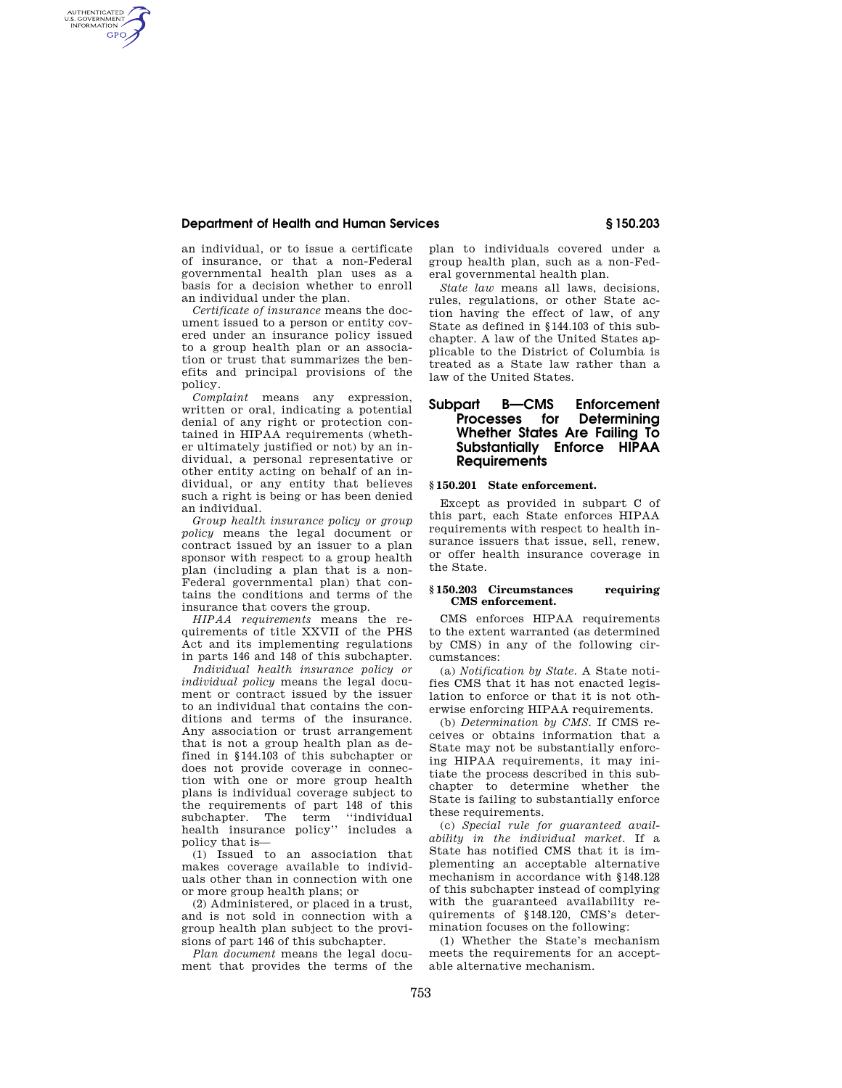# **Department of Health and Human Services § 150.203**

an individual, or to issue a certificate of insurance, or that a non-Federal governmental health plan uses as a basis for a decision whether to enroll an individual under the plan.

AUTHENTICATED<br>U.S. GOVERNMENT<br>INFORMATION **GPO** 

> *Certificate of insurance* means the document issued to a person or entity covered under an insurance policy issued to a group health plan or an association or trust that summarizes the benefits and principal provisions of the policy.

> *Complaint* means any expression, written or oral, indicating a potential denial of any right or protection contained in HIPAA requirements (whether ultimately justified or not) by an individual, a personal representative or other entity acting on behalf of an individual, or any entity that believes such a right is being or has been denied an individual.

> *Group health insurance policy or group policy* means the legal document or contract issued by an issuer to a plan sponsor with respect to a group health plan (including a plan that is a non-Federal governmental plan) that contains the conditions and terms of the insurance that covers the group.

> *HIPAA requirements* means the requirements of title XXVII of the PHS Act and its implementing regulations in parts 146 and 148 of this subchapter.

> *Individual health insurance policy or individual policy* means the legal document or contract issued by the issuer to an individual that contains the conditions and terms of the insurance. Any association or trust arrangement that is not a group health plan as defined in §144.103 of this subchapter or does not provide coverage in connection with one or more group health plans is individual coverage subject to the requirements of part 148 of this subchapter. The term "individual health insurance policy'' includes a policy that is—

> (1) Issued to an association that makes coverage available to individuals other than in connection with one or more group health plans; or

> (2) Administered, or placed in a trust, and is not sold in connection with a group health plan subject to the provisions of part 146 of this subchapter.

*Plan document* means the legal document that provides the terms of the plan to individuals covered under a group health plan, such as a non-Federal governmental health plan.

*State law* means all laws, decisions, rules, regulations, or other State action having the effect of law, of any State as defined in §144.103 of this subchapter. A law of the United States applicable to the District of Columbia is treated as a State law rather than a law of the United States.

# **Subpart B—CMS Enforcement Processes for Determining Whether States Are Failing To Substantially Enforce HIPAA Requirements**

# **§ 150.201 State enforcement.**

Except as provided in subpart C of this part, each State enforces HIPAA requirements with respect to health insurance issuers that issue, sell, renew, or offer health insurance coverage in the State.

### **§ 150.203 Circumstances requiring CMS enforcement.**

CMS enforces HIPAA requirements to the extent warranted (as determined by CMS) in any of the following circumstances:

(a) *Notification by State.* A State notifies CMS that it has not enacted legislation to enforce or that it is not otherwise enforcing HIPAA requirements.

(b) *Determination by CMS.* If CMS receives or obtains information that a State may not be substantially enforcing HIPAA requirements, it may initiate the process described in this subchapter to determine whether the State is failing to substantially enforce these requirements.

(c) *Special rule for guaranteed availability in the individual market.* If a State has notified CMS that it is implementing an acceptable alternative mechanism in accordance with §148.128 of this subchapter instead of complying with the guaranteed availability requirements of §148.120, CMS's determination focuses on the following:

(1) Whether the State's mechanism meets the requirements for an acceptable alternative mechanism.